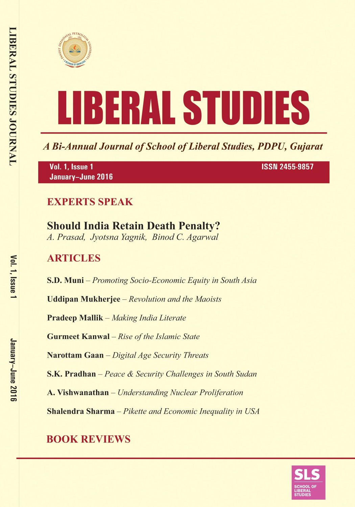



A Bi-Annual Journal of School of Liberal Studies, PDPU, Gujarat

Vol. 1, Issue 1 January-June 2016 **ISSN 2455-9857** 

# **EXPERTS SPEAK**

# **Should India Retain Death Penalty?**

A. Prasad, Jyotsna Yagnik, Binod C. Agarwal

# **ARTICLES**

S.D. Muni – Promoting Socio-Economic Equity in South Asia

**Uddipan Mukherjee** – Revolution and the Maoists

**Pradeep Mallik** – Making India Literate

**Gurmeet Kanwal** - Rise of the Islamic State

Narottam Gaan - Digital Age Security Threats

**S.K. Pradhan** – Peace & Security Challenges in South Sudan

A. Vishwanathan - Understanding Nuclear Proliferation

**Shalendra Sharma** - Pikette and Economic Inequality in USA

# **BOOK REVIEWS**

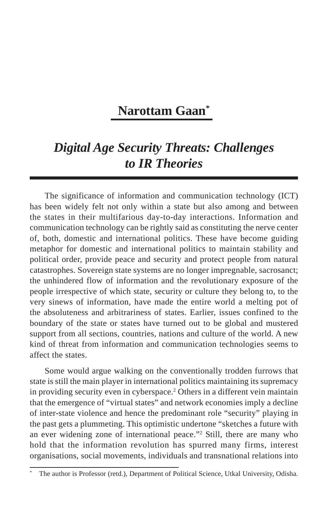# **Narottam Gaan\***

# *Digital Age Security Threats: Challenges to IR Theories*

The significance of information and communication technology (ICT) has been widely felt not only within a state but also among and between the states in their multifarious day-to-day interactions. Information and communication technology can be rightly said as constituting the nerve center of, both, domestic and international politics. These have become guiding metaphor for domestic and international politics to maintain stability and political order, provide peace and security and protect people from natural catastrophes. Sovereign state systems are no longer impregnable, sacrosanct; the unhindered flow of information and the revolutionary exposure of the people irrespective of which state, security or culture they belong to, to the very sinews of information, have made the entire world a melting pot of the absoluteness and arbitrariness of states. Earlier, issues confined to the boundary of the state or states have turned out to be global and mustered support from all sections, countries, nations and culture of the world. A new kind of threat from information and communication technologies seems to affect the states.

Some would argue walking on the conventionally trodden furrows that state is still the main player in international politics maintaining its supremacy in providing security even in cyberspace.<sup>2</sup> Others in a different vein maintain that the emergence of "virtual states" and network economies imply a decline of inter-state violence and hence the predominant role "security" playing in the past gets a plummeting. This optimistic undertone "sketches a future with an ever widening zone of international peace."2 Still, there are many who hold that the information revolution has spurred many firms, interest organisations, social movements, individuals and transnational relations into

The author is Professor (retd.), Department of Political Science, Utkal University, Odisha.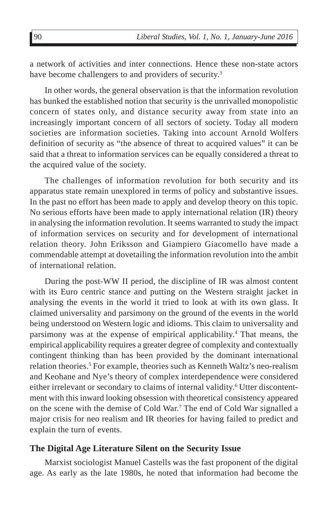a network of activities and inter connections. Hence these non-state actors have become challengers to and providers of security.<sup>3</sup>

In other words, the general observation is that the information revolution has bunked the established notion that security is the unrivalled monopolistic concern of states only, and distance security away from state into an increasingly important concern of all sectors of society. Today all modern societies are information societies. Taking into account Arnold Wolfers definition of security as "the absence of threat to acquired values" it can be said that a threat to information services can be equally considered a threat to the acquired value of the society.

The challenges of information revolution for both security and its apparatus state remain unexplored in terms of policy and substantive issues. In the past no effort has been made to apply and develop theory on this topic. No serious efforts have been made to apply international relation (IR) theory in analysing the information revolution. It seems warranted to study the impact of information services on security and for development of international relation theory. John Eriksson and Giampiero Giacomello have made a commendable attempt at dovetailing the information revolution into the ambit of international relation.

During the post-WW II period, the discipline of IR was almost content with its Euro centric stance and putting on the Western straight jacket in analysing the events in the world it tried to look at with its own glass. It claimed universality and parsimony on the ground of the events in the world being understood on Western logic and idioms. This claim to universality and parsimony was at the expense of empirical applicability.<sup>4</sup> That means, the empirical applicability requires a greater degree of complexity and contextually contingent thinking than has been provided by the dominant international relation theories.<sup>5</sup> For example, theories such as Kenneth Waltz's neo-realism and Keohane and Nye's theory of complex interdependence were considered either irrelevant or secondary to claims of internal validity.<sup>6</sup> Utter discontentment with this inward looking obsession with theoretical consistency appeared on the scene with the demise of Cold War.7 The end of Cold War signalled a major crisis for neo realism and IR theories for having failed to predict and explain the turn of events.

#### **The Digital Age Literature Silent on the Security Issue**

Marxist sociologist Manuel Castells was the fast proponent of the digital age. As early as the late 1980s, he noted that information had become the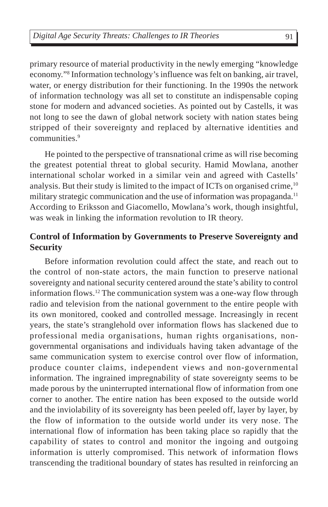primary resource of material productivity in the newly emerging "knowledge economy."8 Information technology's influence was felt on banking, air travel, water, or energy distribution for their functioning. In the 1990s the network of information technology was all set to constitute an indispensable coping stone for modern and advanced societies. As pointed out by Castells, it was not long to see the dawn of global network society with nation states being stripped of their sovereignty and replaced by alternative identities and communities.9

He pointed to the perspective of transnational crime as will rise becoming the greatest potential threat to global security. Hamid Mowlana, another international scholar worked in a similar vein and agreed with Castells' analysis. But their study is limited to the impact of ICTs on organised crime,<sup>10</sup> military strategic communication and the use of information was propaganda.<sup>11</sup> According to Eriksson and Giacomello, Mowlana's work, though insightful, was weak in linking the information revolution to IR theory.

## **Control of Information by Governments to Preserve Sovereignty and Security**

Before information revolution could affect the state, and reach out to the control of non-state actors, the main function to preserve national sovereignty and national security centered around the state's ability to control information flows.<sup>12</sup> The communication system was a one-way flow through radio and television from the national government to the entire people with its own monitored, cooked and controlled message. Increasingly in recent years, the state's stranglehold over information flows has slackened due to professional media organisations, human rights organisations, nongovernmental organisations and individuals having taken advantage of the same communication system to exercise control over flow of information, produce counter claims, independent views and non-governmental information. The ingrained impregnability of state sovereignty seems to be made porous by the uninterrupted international flow of information from one corner to another. The entire nation has been exposed to the outside world and the inviolability of its sovereignty has been peeled off, layer by layer, by the flow of information to the outside world under its very nose. The international flow of information has been taking place so rapidly that the capability of states to control and monitor the ingoing and outgoing information is utterly compromised. This network of information flows transcending the traditional boundary of states has resulted in reinforcing an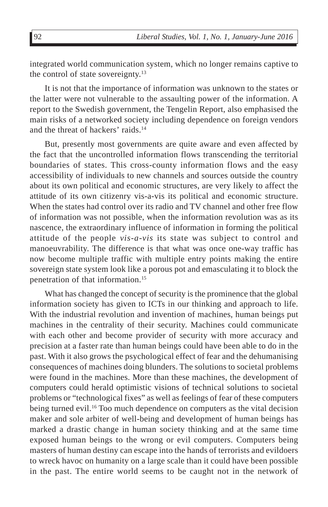integrated world communication system, which no longer remains captive to the control of state sovereignty.<sup>13</sup>

It is not that the importance of information was unknown to the states or the latter were not vulnerable to the assaulting power of the information. A report to the Swedish government, the Tengelin Report, also emphasised the main risks of a networked society including dependence on foreign vendors and the threat of hackers' raids.<sup>14</sup>

But, presently most governments are quite aware and even affected by the fact that the uncontrolled information flows transcending the territorial boundaries of states. This cross-county information flows and the easy accessibility of individuals to new channels and sources outside the country about its own political and economic structures, are very likely to affect the attitude of its own citizenry vis-a-vis its political and economic structure. When the states had control over its radio and TV channel and other free flow of information was not possible, when the information revolution was as its nascence, the extraordinary influence of information in forming the political attitude of the people *vis-a-vis* its state was subject to control and manoeuvrability. The difference is that what was once one-way traffic has now become multiple traffic with multiple entry points making the entire sovereign state system look like a porous pot and emasculating it to block the penetration of that information.15

What has changed the concept of security is the prominence that the global information society has given to ICTs in our thinking and approach to life. With the industrial revolution and invention of machines, human beings put machines in the centrality of their security. Machines could communicate with each other and become provider of security with more accuracy and precision at a faster rate than human beings could have been able to do in the past. With it also grows the psychological effect of fear and the dehumanising consequences of machines doing blunders. The solutions to societal problems were found in the machines. More than these machines, the development of computers could herald optimistic visions of technical solutions to societal problems or "technological fixes" as well as feelings of fear of these computers being turned evil.<sup>16</sup> Too much dependence on computers as the vital decision maker and sole arbiter of well-being and development of human beings has marked a drastic change in human society thinking and at the same time exposed human beings to the wrong or evil computers. Computers being masters of human destiny can escape into the hands of terrorists and evildoers to wreck havoc on humanity on a large scale than it could have been possible in the past. The entire world seems to be caught not in the network of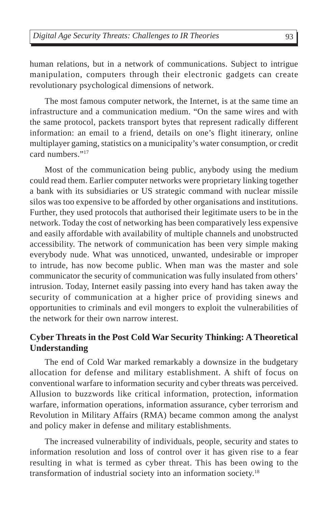human relations, but in a network of communications. Subject to intrigue manipulation, computers through their electronic gadgets can create revolutionary psychological dimensions of network.

The most famous computer network, the Internet, is at the same time an infrastructure and a communication medium. "On the same wires and with the same protocol, packets transport bytes that represent radically different information: an email to a friend, details on one's flight itinerary, online multiplayer gaming, statistics on a municipality's water consumption, or credit card numbers<sup>"17</sup>

Most of the communication being public, anybody using the medium could read them. Earlier computer networks were proprietary linking together a bank with its subsidiaries or US strategic command with nuclear missile silos was too expensive to be afforded by other organisations and institutions. Further, they used protocols that authorised their legitimate users to be in the network. Today the cost of networking has been comparatively less expensive and easily affordable with availability of multiple channels and unobstructed accessibility. The network of communication has been very simple making everybody nude. What was unnoticed, unwanted, undesirable or improper to intrude, has now become public. When man was the master and sole communicator the security of communication was fully insulated from others' intrusion. Today, Internet easily passing into every hand has taken away the security of communication at a higher price of providing sinews and opportunities to criminals and evil mongers to exploit the vulnerabilities of the network for their own narrow interest.

# **Cyber Threats in the Post Cold War Security Thinking: A Theoretical Understanding**

The end of Cold War marked remarkably a downsize in the budgetary allocation for defense and military establishment. A shift of focus on conventional warfare to information security and cyber threats was perceived. Allusion to buzzwords like critical information, protection, information warfare, information operations, information assurance, cyber terrorism and Revolution in Military Affairs (RMA) became common among the analyst and policy maker in defense and military establishments.

The increased vulnerability of individuals, people, security and states to information resolution and loss of control over it has given rise to a fear resulting in what is termed as cyber threat. This has been owing to the transformation of industrial society into an information society.18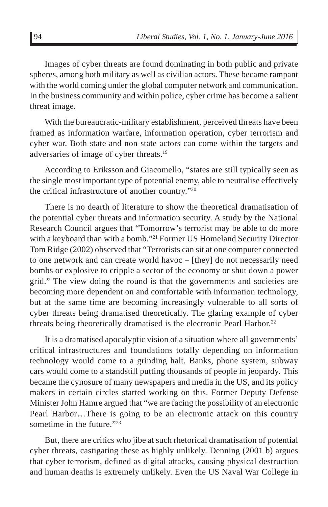Images of cyber threats are found dominating in both public and private spheres, among both military as well as civilian actors. These became rampant with the world coming under the global computer network and communication. In the business community and within police, cyber crime has become a salient threat image.

With the bureaucratic-military establishment, perceived threats have been framed as information warfare, information operation, cyber terrorism and cyber war. Both state and non-state actors can come within the targets and adversaries of image of cyber threats.19

According to Eriksson and Giacomello, "states are still typically seen as the single most important type of potential enemy, able to neutralise effectively the critical infrastructure of another country."20

There is no dearth of literature to show the theoretical dramatisation of the potential cyber threats and information security. A study by the National Research Council argues that "Tomorrow's terrorist may be able to do more with a keyboard than with a bomb."<sup>21</sup> Former US Homeland Security Director Tom Ridge (2002) observed that "Terrorists can sit at one computer connected to one network and can create world havoc – [they] do not necessarily need bombs or explosive to cripple a sector of the economy or shut down a power grid." The view doing the round is that the governments and societies are becoming more dependent on and comfortable with information technology, but at the same time are becoming increasingly vulnerable to all sorts of cyber threats being dramatised theoretically. The glaring example of cyber threats being theoretically dramatised is the electronic Pearl Harbor.<sup>22</sup>

It is a dramatised apocalyptic vision of a situation where all governments' critical infrastructures and foundations totally depending on information technology would come to a grinding halt. Banks, phone system, subway cars would come to a standstill putting thousands of people in jeopardy. This became the cynosure of many newspapers and media in the US, and its policy makers in certain circles started working on this. Former Deputy Defense Minister John Hamre argued that "we are facing the possibility of an electronic Pearl Harbor…There is going to be an electronic attack on this country sometime in the future."<sup>23</sup>

But, there are critics who jibe at such rhetorical dramatisation of potential cyber threats, castigating these as highly unlikely. Denning (2001 b) argues that cyber terrorism, defined as digital attacks, causing physical destruction and human deaths is extremely unlikely. Even the US Naval War College in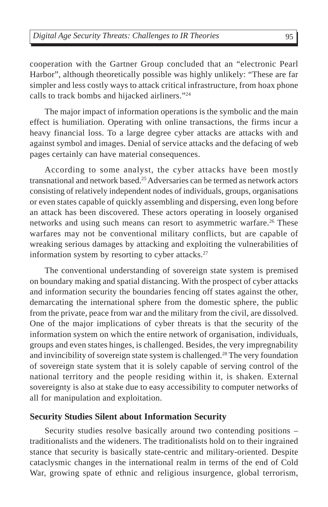cooperation with the Gartner Group concluded that an "electronic Pearl Harbor", although theoretically possible was highly unlikely: "These are far simpler and less costly ways to attack critical infrastructure, from hoax phone calls to track bombs and hijacked airliners."24

The major impact of information operations is the symbolic and the main effect is humiliation. Operating with online transactions, the firms incur a heavy financial loss. To a large degree cyber attacks are attacks with and against symbol and images. Denial of service attacks and the defacing of web pages certainly can have material consequences.

According to some analyst, the cyber attacks have been mostly transnational and network based.25 Adversaries can be termed as network actors consisting of relatively independent nodes of individuals, groups, organisations or even states capable of quickly assembling and dispersing, even long before an attack has been discovered. These actors operating in loosely organised networks and using such means can resort to asymmetric warfare.<sup>26</sup> These warfares may not be conventional military conflicts, but are capable of wreaking serious damages by attacking and exploiting the vulnerabilities of information system by resorting to cyber attacks.<sup>27</sup>

The conventional understanding of sovereign state system is premised on boundary making and spatial distancing. With the prospect of cyber attacks and information security the boundaries fencing off states against the other, demarcating the international sphere from the domestic sphere, the public from the private, peace from war and the military from the civil, are dissolved. One of the major implications of cyber threats is that the security of the information system on which the entire network of organisation, individuals, groups and even states hinges, is challenged. Besides, the very impregnability and invincibility of sovereign state system is challenged.<sup>28</sup> The very foundation of sovereign state system that it is solely capable of serving control of the national territory and the people residing within it, is shaken. External sovereignty is also at stake due to easy accessibility to computer networks of all for manipulation and exploitation.

#### **Security Studies Silent about Information Security**

Security studies resolve basically around two contending positions – traditionalists and the wideners. The traditionalists hold on to their ingrained stance that security is basically state-centric and military-oriented. Despite cataclysmic changes in the international realm in terms of the end of Cold War, growing spate of ethnic and religious insurgence, global terrorism,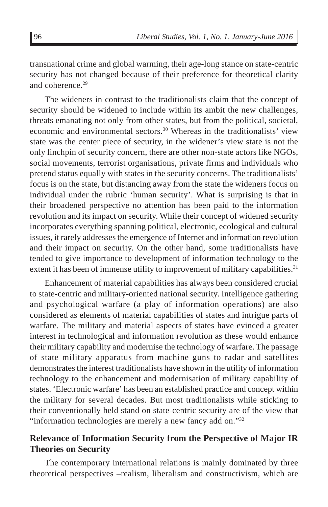transnational crime and global warming, their age-long stance on state-centric security has not changed because of their preference for theoretical clarity and coherence.<sup>29</sup>

The wideners in contrast to the traditionalists claim that the concept of security should be widened to include within its ambit the new challenges, threats emanating not only from other states, but from the political, societal, economic and environmental sectors.30 Whereas in the traditionalists' view state was the center piece of security, in the widener's view state is not the only linchpin of security concern, there are other non-state actors like NGOs, social movements, terrorist organisations, private firms and individuals who pretend status equally with states in the security concerns. The traditionalists' focus is on the state, but distancing away from the state the wideners focus on individual under the rubric 'human security'. What is surprising is that in their broadened perspective no attention has been paid to the information revolution and its impact on security. While their concept of widened security incorporates everything spanning political, electronic, ecological and cultural issues, it rarely addresses the emergence of Internet and information revolution and their impact on security. On the other hand, some traditionalists have tended to give importance to development of information technology to the extent it has been of immense utility to improvement of military capabilities.<sup>31</sup>

Enhancement of material capabilities has always been considered crucial to state-centric and military-oriented national security. Intelligence gathering and psychological warfare (a play of information operations) are also considered as elements of material capabilities of states and intrigue parts of warfare. The military and material aspects of states have evinced a greater interest in technological and information revolution as these would enhance their military capability and modernise the technology of warfare. The passage of state military apparatus from machine guns to radar and satellites demonstrates the interest traditionalists have shown in the utility of information technology to the enhancement and modernisation of military capability of states. 'Electronic warfare' has been an established practice and concept within the military for several decades. But most traditionalists while sticking to their conventionally held stand on state-centric security are of the view that "information technologies are merely a new fancy add on."32

### **Relevance of Information Security from the Perspective of Major IR Theories on Security**

The contemporary international relations is mainly dominated by three theoretical perspectives –realism, liberalism and constructivism, which are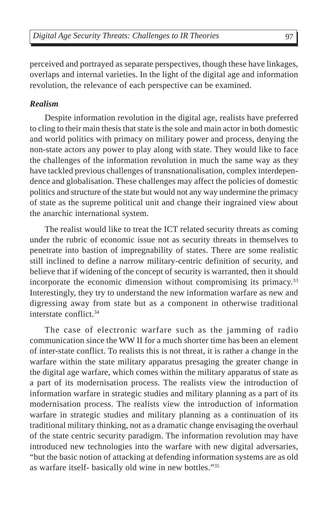perceived and portrayed as separate perspectives, though these have linkages, overlaps and internal varieties. In the light of the digital age and information revolution, the relevance of each perspective can be examined.

### *Realism*

Despite information revolution in the digital age, realists have preferred to cling to their main thesis that state is the sole and main actor in both domestic and world politics with primacy on military power and process, denying the non-state actors any power to play along with state. They would like to face the challenges of the information revolution in much the same way as they have tackled previous challenges of transnationalisation, complex interdependence and globalisation. These challenges may affect the policies of domestic politics and structure of the state but would not any way undermine the primacy of state as the supreme political unit and change their ingrained view about the anarchic international system.

The realist would like to treat the ICT related security threats as coming under the rubric of economic issue not as security threats in themselves to penetrate into bastion of impregnability of states. There are some realistic still inclined to define a narrow military-centric definition of security, and believe that if widening of the concept of security is warranted, then it should incorporate the economic dimension without compromising its primacy.<sup>33</sup> Interestingly, they try to understand the new information warfare as new and digressing away from state but as a component in otherwise traditional interstate conflict.34

The case of electronic warfare such as the jamming of radio communication since the WW II for a much shorter time has been an element of inter-state conflict. To realists this is not threat, it is rather a change in the warfare within the state military apparatus presaging the greater change in the digital age warfare, which comes within the military apparatus of state as a part of its modernisation process. The realists view the introduction of information warfare in strategic studies and military planning as a part of its modernisation process. The realists view the introduction of information warfare in strategic studies and military planning as a continuation of its traditional military thinking, not as a dramatic change envisaging the overhaul of the state centric security paradigm. The information revolution may have introduced new technologies into the warfare with new digital adversaries, "but the basic notion of attacking at defending information systems are as old as warfare itself- basically old wine in new bottles."35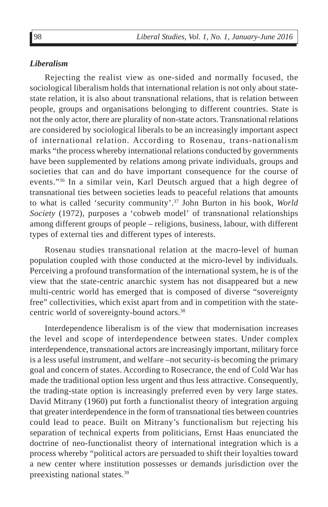#### *Liberalism*

Rejecting the realist view as one-sided and normally focused, the sociological liberalism holds that international relation is not only about statestate relation, it is also about transnational relations, that is relation between people, groups and organisations belonging to different countries. State is not the only actor, there are plurality of non-state actors. Transnational relations are considered by sociological liberals to be an increasingly important aspect of international relation. According to Rosenau, trans-nationalism marks "the process whereby international relations conducted by governments have been supplemented by relations among private individuals, groups and societies that can and do have important consequence for the course of events."36 In a similar vein, Karl Deutsch argued that a high degree of transnational ties between societies leads to peaceful relations that amounts to what is called 'security community'.37 John Burton in his book, *World Society* (1972), purposes a 'cobweb model' of transnational relationships among different groups of people – religions, business, labour, with different types of external ties and different types of interests.

Rosenau studies transnational relation at the macro-level of human population coupled with those conducted at the micro-level by individuals. Perceiving a profound transformation of the international system, he is of the view that the state-centric anarchic system has not disappeared but a new multi-centric world has emerged that is composed of diverse "sovereignty free" collectivities, which exist apart from and in competition with the statecentric world of sovereignty-bound actors.38

Interdependence liberalism is of the view that modernisation increases the level and scope of interdependence between states. Under complex interdependence, transnational actors are increasingly important, military force is a less useful instrument, and welfare –not security-is becoming the primary goal and concern of states. According to Rosecrance, the end of Cold War has made the traditional option less urgent and thus less attractive. Consequently, the trading-state option is increasingly preferred even by very large states. David Mitrany (1960) put forth a functionalist theory of integration arguing that greater interdependence in the form of transnational ties between countries could lead to peace. Built on Mitrany's functionalism but rejecting his separation of technical experts from politicians, Ernst Haas enunciated the doctrine of neo-functionalist theory of international integration which is a process whereby "political actors are persuaded to shift their loyalties toward a new center where institution possesses or demands jurisdiction over the preexisting national states.39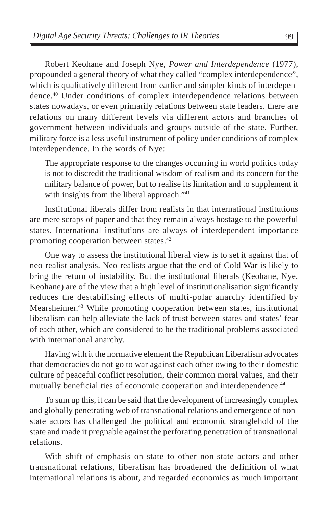Robert Keohane and Joseph Nye, *Power and Interdependence* (1977), propounded a general theory of what they called "complex interdependence", which is qualitatively different from earlier and simpler kinds of interdependence.40 Under conditions of complex interdependence relations between states nowadays, or even primarily relations between state leaders, there are relations on many different levels via different actors and branches of government between individuals and groups outside of the state. Further, military force is a less useful instrument of policy under conditions of complex interdependence. In the words of Nye:

The appropriate response to the changes occurring in world politics today is not to discredit the traditional wisdom of realism and its concern for the military balance of power, but to realise its limitation and to supplement it with insights from the liberal approach."<sup>41</sup>

Institutional liberals differ from realists in that international institutions are mere scraps of paper and that they remain always hostage to the powerful states. International institutions are always of interdependent importance promoting cooperation between states.42

One way to assess the institutional liberal view is to set it against that of neo-realist analysis. Neo-realists argue that the end of Cold War is likely to bring the return of instability. But the institutional liberals (Keohane, Nye, Keohane) are of the view that a high level of institutionalisation significantly reduces the destabilising effects of multi-polar anarchy identified by Mearsheimer.43 While promoting cooperation between states, institutional liberalism can help alleviate the lack of trust between states and states' fear of each other, which are considered to be the traditional problems associated with international anarchy.

Having with it the normative element the Republican Liberalism advocates that democracies do not go to war against each other owing to their domestic culture of peaceful conflict resolution, their common moral values, and their mutually beneficial ties of economic cooperation and interdependence.<sup>44</sup>

To sum up this, it can be said that the development of increasingly complex and globally penetrating web of transnational relations and emergence of nonstate actors has challenged the political and economic stranglehold of the state and made it pregnable against the perforating penetration of transnational relations.

With shift of emphasis on state to other non-state actors and other transnational relations, liberalism has broadened the definition of what international relations is about, and regarded economics as much important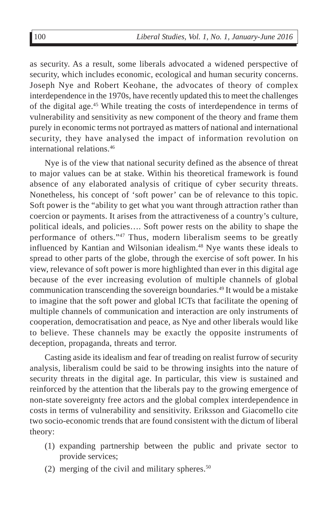as security. As a result, some liberals advocated a widened perspective of security, which includes economic, ecological and human security concerns. Joseph Nye and Robert Keohane, the advocates of theory of complex interdependence in the 1970s, have recently updated this to meet the challenges of the digital age.45 While treating the costs of interdependence in terms of vulnerability and sensitivity as new component of the theory and frame them purely in economic terms not portrayed as matters of national and international security, they have analysed the impact of information revolution on international relations.46

Nye is of the view that national security defined as the absence of threat to major values can be at stake. Within his theoretical framework is found absence of any elaborated analysis of critique of cyber security threats. Nonetheless, his concept of 'soft power' can be of relevance to this topic. Soft power is the "ability to get what you want through attraction rather than coercion or payments. It arises from the attractiveness of a country's culture, political ideals, and policies…. Soft power rests on the ability to shape the performance of others."47 Thus, modern liberalism seems to be greatly influenced by Kantian and Wilsonian idealism.48 Nye wants these ideals to spread to other parts of the globe, through the exercise of soft power. In his view, relevance of soft power is more highlighted than ever in this digital age because of the ever increasing evolution of multiple channels of global communication transcending the sovereign boundaries.49 It would be a mistake to imagine that the soft power and global ICTs that facilitate the opening of multiple channels of communication and interaction are only instruments of cooperation, democratisation and peace, as Nye and other liberals would like to believe. These channels may be exactly the opposite instruments of deception, propaganda, threats and terror.

Casting aside its idealism and fear of treading on realist furrow of security analysis, liberalism could be said to be throwing insights into the nature of security threats in the digital age. In particular, this view is sustained and reinforced by the attention that the liberals pay to the growing emergence of non-state sovereignty free actors and the global complex interdependence in costs in terms of vulnerability and sensitivity. Eriksson and Giacomello cite two socio-economic trends that are found consistent with the dictum of liberal theory:

- (1) expanding partnership between the public and private sector to provide services;
- (2) merging of the civil and military spheres.<sup>50</sup>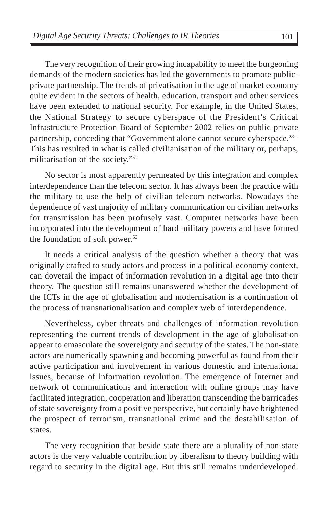The very recognition of their growing incapability to meet the burgeoning demands of the modern societies has led the governments to promote publicprivate partnership. The trends of privatisation in the age of market economy quite evident in the sectors of health, education, transport and other services have been extended to national security. For example, in the United States, the National Strategy to secure cyberspace of the President's Critical Infrastructure Protection Board of September 2002 relies on public-private partnership, conceding that "Government alone cannot secure cyberspace."51 This has resulted in what is called civilianisation of the military or, perhaps, militarisation of the society."52

No sector is most apparently permeated by this integration and complex interdependence than the telecom sector. It has always been the practice with the military to use the help of civilian telecom networks. Nowadays the dependence of vast majority of military communication on civilian networks for transmission has been profusely vast. Computer networks have been incorporated into the development of hard military powers and have formed the foundation of soft power.<sup>53</sup>

It needs a critical analysis of the question whether a theory that was originally crafted to study actors and process in a political-economy context, can dovetail the impact of information revolution in a digital age into their theory. The question still remains unanswered whether the development of the ICTs in the age of globalisation and modernisation is a continuation of the process of transnationalisation and complex web of interdependence.

Nevertheless, cyber threats and challenges of information revolution representing the current trends of development in the age of globalisation appear to emasculate the sovereignty and security of the states. The non-state actors are numerically spawning and becoming powerful as found from their active participation and involvement in various domestic and international issues, because of information revolution. The emergence of Internet and network of communications and interaction with online groups may have facilitated integration, cooperation and liberation transcending the barricades of state sovereignty from a positive perspective, but certainly have brightened the prospect of terrorism, transnational crime and the destabilisation of states.

The very recognition that beside state there are a plurality of non-state actors is the very valuable contribution by liberalism to theory building with regard to security in the digital age. But this still remains underdeveloped.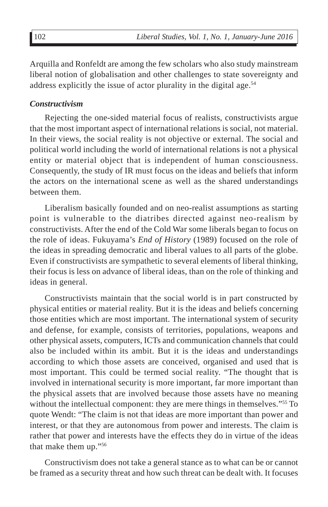Arquilla and Ronfeldt are among the few scholars who also study mainstream liberal notion of globalisation and other challenges to state sovereignty and address explicitly the issue of actor plurality in the digital age.<sup>54</sup>

#### *Constructivism*

Rejecting the one-sided material focus of realists, constructivists argue that the most important aspect of international relations is social, not material. In their views, the social reality is not objective or external. The social and political world including the world of international relations is not a physical entity or material object that is independent of human consciousness. Consequently, the study of IR must focus on the ideas and beliefs that inform the actors on the international scene as well as the shared understandings between them.

Liberalism basically founded and on neo-realist assumptions as starting point is vulnerable to the diatribes directed against neo-realism by constructivists. After the end of the Cold War some liberals began to focus on the role of ideas. Fukuyama's *End of History* (1989) focused on the role of the ideas in spreading democratic and liberal values to all parts of the globe. Even if constructivists are sympathetic to several elements of liberal thinking, their focus is less on advance of liberal ideas, than on the role of thinking and ideas in general.

Constructivists maintain that the social world is in part constructed by physical entities or material reality. But it is the ideas and beliefs concerning those entities which are most important. The international system of security and defense, for example, consists of territories, populations, weapons and other physical assets, computers, ICTs and communication channels that could also be included within its ambit. But it is the ideas and understandings according to which those assets are conceived, organised and used that is most important. This could be termed social reality. "The thought that is involved in international security is more important, far more important than the physical assets that are involved because those assets have no meaning without the intellectual component: they are mere things in themselves."<sup>55</sup> To quote Wendt: "The claim is not that ideas are more important than power and interest, or that they are autonomous from power and interests. The claim is rather that power and interests have the effects they do in virtue of the ideas that make them up."56

Constructivism does not take a general stance as to what can be or cannot be framed as a security threat and how such threat can be dealt with. It focuses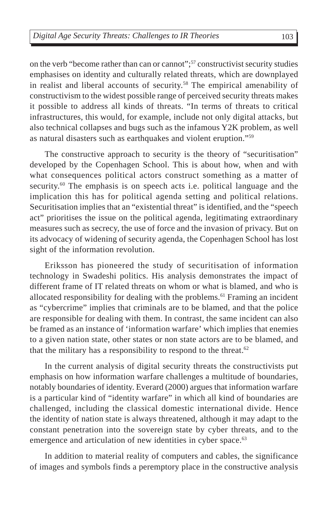on the verb "become rather than can or cannot";57 constructivist security studies emphasises on identity and culturally related threats, which are downplayed in realist and liberal accounts of security.58 The empirical amenability of constructivism to the widest possible range of perceived security threats makes it possible to address all kinds of threats. "In terms of threats to critical infrastructures, this would, for example, include not only digital attacks, but also technical collapses and bugs such as the infamous Y2K problem, as well as natural disasters such as earthquakes and violent eruption."59

The constructive approach to security is the theory of "securitisation" developed by the Copenhagen School. This is about how, when and with what consequences political actors construct something as a matter of security.<sup>60</sup> The emphasis is on speech acts i.e. political language and the implication this has for political agenda setting and political relations. Securitisation implies that an "existential threat" is identified, and the "speech act" prioritises the issue on the political agenda, legitimating extraordinary measures such as secrecy, the use of force and the invasion of privacy. But on its advocacy of widening of security agenda, the Copenhagen School has lost sight of the information revolution.

Eriksson has pioneered the study of securitisation of information technology in Swadeshi politics. His analysis demonstrates the impact of different frame of IT related threats on whom or what is blamed, and who is allocated responsibility for dealing with the problems.61 Framing an incident as "cybercrime" implies that criminals are to be blamed, and that the police are responsible for dealing with them. In contrast, the same incident can also be framed as an instance of 'information warfare' which implies that enemies to a given nation state, other states or non state actors are to be blamed, and that the military has a responsibility to respond to the threat.<sup>62</sup>

In the current analysis of digital security threats the constructivists put emphasis on how information warfare challenges a multitude of boundaries, notably boundaries of identity. Everard (2000) argues that information warfare is a particular kind of "identity warfare" in which all kind of boundaries are challenged, including the classical domestic international divide. Hence the identity of nation state is always threatened, although it may adapt to the constant penetration into the sovereign state by cyber threats, and to the emergence and articulation of new identities in cyber space.<sup>63</sup>

In addition to material reality of computers and cables, the significance of images and symbols finds a peremptory place in the constructive analysis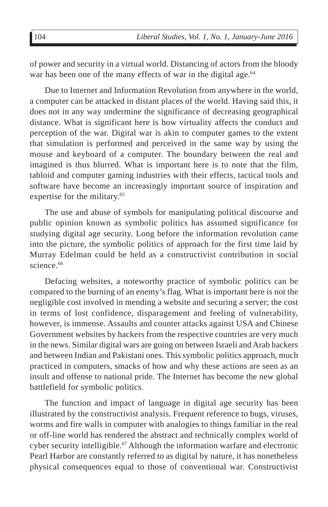of power and security in a virtual world. Distancing of actors from the bloody war has been one of the many effects of war in the digital age.<sup>64</sup>

Due to Internet and Information Revolution from anywhere in the world, a computer can be attacked in distant places of the world. Having said this, it does not in any way undermine the significance of decreasing geographical distance. What is significant here is how virtuality affects the conduct and perception of the war. Digital war is akin to computer games to the extent that simulation is performed and perceived in the same way by using the mouse and keyboard of a computer. The boundary between the real and imagined is thus blurred. What is important here is to note that the film, tabloid and computer gaming industries with their effects, tactical tools and software have become an increasingly important source of inspiration and expertise for the military.<sup>65</sup>

The use and abuse of symbols for manipulating political discourse and public opinion known as symbolic politics has assumed significance for studying digital age security. Long before the information revolution came into the picture, the symbolic politics of approach for the first time laid by Murray Edelman could be held as a constructivist contribution in social science.<sup>66</sup>

Defacing websites, a noteworthy practice of symbolic politics can be compared to the burning of an enemy's flag. What is important here is not the negligible cost involved in mending a website and securing a server; the cost in terms of lost confidence, disparagement and feeling of vulnerability, however, is immense. Assaults and counter attacks against USA and Chinese Government websites by hackers from the respective countries are very much in the news. Similar digital wars are going on between Israeli and Arab hackers and between Indian and Pakistani ones. This symbolic politics approach, much practiced in computers, smacks of how and why these actions are seen as an insult and offense to national pride. The Internet has become the new global battlefield for symbolic politics.

The function and impact of language in digital age security has been illustrated by the constructivist analysis. Frequent reference to bugs, viruses, worms and fire walls in computer with analogies to things familiar in the real or off-line world has rendered the abstract and technically complex world of cyber security intelligible.<sup>67</sup> Although the information warfare and electronic Pearl Harbor are constantly referred to as digital by nature, it has nonetheless physical consequences equal to those of conventional war. Constructivist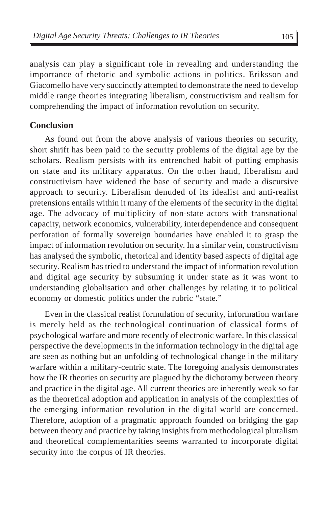analysis can play a significant role in revealing and understanding the importance of rhetoric and symbolic actions in politics. Eriksson and Giacomello have very succinctly attempted to demonstrate the need to develop middle range theories integrating liberalism, constructivism and realism for comprehending the impact of information revolution on security.

### **Conclusion**

As found out from the above analysis of various theories on security, short shrift has been paid to the security problems of the digital age by the scholars. Realism persists with its entrenched habit of putting emphasis on state and its military apparatus. On the other hand, liberalism and constructivism have widened the base of security and made a discursive approach to security. Liberalism denuded of its idealist and anti-realist pretensions entails within it many of the elements of the security in the digital age. The advocacy of multiplicity of non-state actors with transnational capacity, network economics, vulnerability, interdependence and consequent perforation of formally sovereign boundaries have enabled it to grasp the impact of information revolution on security. In a similar vein, constructivism has analysed the symbolic, rhetorical and identity based aspects of digital age security. Realism has tried to understand the impact of information revolution and digital age security by subsuming it under state as it was wont to understanding globalisation and other challenges by relating it to political economy or domestic politics under the rubric "state."

Even in the classical realist formulation of security, information warfare is merely held as the technological continuation of classical forms of psychological warfare and more recently of electronic warfare. In this classical perspective the developments in the information technology in the digital age are seen as nothing but an unfolding of technological change in the military warfare within a military-centric state. The foregoing analysis demonstrates how the IR theories on security are plagued by the dichotomy between theory and practice in the digital age. All current theories are inherently weak so far as the theoretical adoption and application in analysis of the complexities of the emerging information revolution in the digital world are concerned. Therefore, adoption of a pragmatic approach founded on bridging the gap between theory and practice by taking insights from methodological pluralism and theoretical complementarities seems warranted to incorporate digital security into the corpus of IR theories.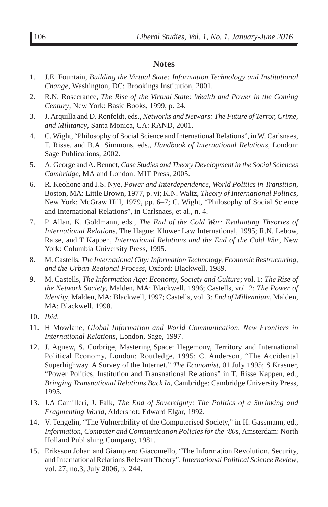### **Notes**

- 1. J.E. Fountain, *Building the Virtual State: Information Technology and Institutional Change*, Washington, DC: Brookings Institution, 2001.
- 2. R.N. Rosecrance, *The Rise of the Virtual State: Wealth and Power in the Coming Century*, New York: Basic Books, 1999, p. 24.
- 3. J. Arquilla and D. Ronfeldt, eds., *Networks and Netwars: The Future of Terror, Crime, and Militancy*, Santa Monica, CA: RAND, 2001.
- 4. C. Wight, "Philosophy of Social Science and International Relations", in W. Carlsnaes, T. Risse, and B.A. Simmons, eds., *Handbook of International Relations*, London: Sage Publications, 2002.
- 5. A. George and A. Bennet, *Case Studies and Theory Development in the Social Sciences Cambridge*, MA and London: MIT Press, 2005.
- 6. R. Keohone and J.S. Nye, *Power and Interdependence, World Politics in Transition*, Boston, MA: Little Brown, 1977, p. vi; K.N. Waltz, *Theory of International Politics,* New York: McGraw Hill, 1979, pp. 6–7; C. Wight, "Philosophy of Social Science and International Relations", in Carlsnaes, et al., n. 4.
- 7. P. Allan, K. Goldmann, eds., *The End of the Cold War: Evaluating Theories of International Relations,* The Hague: Kluwer Law International, 1995; R.N. Lebow, Raise, and T Kappen, *International Relations and the End of the Cold War*, New York: Columbia University Press, 1995.
- 8. M. Castells, *The International City: Information Technology, Economic Restructuring, and the Urban-Regional Process*, Oxford: Blackwell, 1989.
- 9. M. Castells, *The Information Age: Economy, Society and Culture*; vol. 1: *The Rise of the Network Society*, Malden, MA: Blackwell, 1996; Castells, vol. 2: *The Power of Identity*, Malden, MA: Blackwell, 1997; Castells, vol. 3: *End of Millennium*, Malden, MA: Blackwell, 1998.
- 10. *Ibid*.
- 11. H Mowlane, *Global Information and World Communication, New Frontiers in International Relations*, London, Sage, 1997.
- 12. J. Agnew, S. Corbrige, Mastering Space: Hegemony, Territory and International Political Economy, London: Routledge, 1995; C. Anderson, "The Accidental Superhighway. A Survey of the Internet," *The Economist*, 01 July 1995; S Krasner, "Power Politics, Institution and Transnational Relations" in T. Risse Kappen, ed., *Bringing Transnational Relations Back In*, Cambridge: Cambridge University Press, 1995.
- 13. J.A Camilleri, J. Falk, *The End of Sovereignty: The Politics of a Shrinking and Fragmenting World*, Aldershot: Edward Elgar, 1992.
- 14. V. Tengelin, "The Vulnerability of the Computerised Society," in H. Gassmann, ed., *Information, Computer and Communication Policies for the '80s*, Amsterdam: North Holland Publishing Company, 1981.
- 15. Eriksson Johan and Giampiero Giacomello, "The Information Revolution, Security, and International Relations Relevant Theory", *International Political Science Review*, vol. 27, no.3, July 2006, p. 244.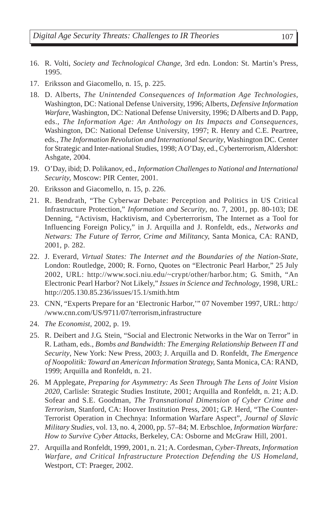- 16. R. Volti, *Society and Technological Change*, 3rd edn. London: St. Martin's Press, 1995.
- 17. Eriksson and Giacomello, n. 15, p. 225.
- 18. D. Alberts, *The Unintended Consequences of Information Age Technologies,* Washington, DC: National Defense University, 1996; Alberts, *Defensive Information Warfare*, Washington, DC: National Defense University, 1996; D Alberts and D. Papp, eds., *The Information Age: An Anthology on Its Impacts and Consequences,* Washington, DC: National Defense University, 1997; R. Henry and C.E. Peartree, eds., *The Information Revolution and International Security*, Washington DC. Center for Strategic and Inter-national Studies, 1998; A O'Day, ed., Cyberterrorism, Aldershot: Ashgate, 2004.
- 19. O'Day, ibid; D. Polikanov, ed., *Information Challenges to National and International Security,* Moscow: PIR Center, 2001.
- 20. Eriksson and Giacomello, n. 15, p. 226.
- 21. R. Bendrath, "The Cyberwar Debate: Perception and Politics in US Critical Infrastructure Protection," *Information and Security*, no. 7, 2001, pp. 80-103; DE Denning, "Activism, Hacktivism, and Cyberterrorism, The Internet as a Tool for Influencing Foreign Policy," in J. Arquilla and J. Ronfeldt, eds., *Networks and Netwars: The Future of Terror, Crime and Militancy,* Santa Monica, CA: RAND, 2001, p. 282.
- 22. J. Everard, *Virtual States: The Internet and the Boundaries of the Nation-State,* London: Routledge, 2000; R. Forno, Quotes on "Electronic Pearl Harbor," 25 July 2002, URL: http://www.soci.niu.edu/~crypt/other/harbor.htm; G. Smith, "An Electronic Pearl Harbor? Not Likely," *Issues in Science and Technology*, 1998, URL: http://205.130.85.236/issues/15.1/smith.htm
- 23. CNN, "Experts Prepare for an 'Electronic Harbor,'" 07 November 1997, URL: http:/ /www.cnn.com/US/9711/07/terrorism,infrastructure
- 24. *The Economist*, 2002, p. 19.
- 25. R. Deibert and J.G. Stein, "Social and Electronic Networks in the War on Terror" in R. Latham, eds., *Bombs and Bandwidth: The Emerging Relationship Between IT and Security*, New York: New Press, 2003; J. Arquilla and D. Ronfeldt, *The Emergence of Noopolitik: Toward an American Information Strategy,* Santa Monica, CA: RAND, 1999; Arquilla and Ronfeldt, n. 21.
- 26. M Applegate, *Preparing for Asymmetry: As Seen Through The Lens of Joint Vision 2020*, Carlisle: Strategic Studies Institute, 2001; Arquilla and Ronfeldt, n. 21; A.D. Sofear and S.E. Goodman, *The Transnational Dimension of Cyber Crime and Terrorism,* Stanford, CA: Hoover Institution Press, 2001; G.P. Herd, "The Counter-Terrorist Operation in Chechnya: Information Warfare Aspect", *Journal of Slavic Military Studies*, vol. 13, no. 4, 2000, pp. 57–84; M. Erbschloe, *Information Warfare: How to Survive Cyber Attacks,* Berkeley, CA: Osborne and McGraw Hill, 2001.
- 27. Arquilla and Ronfeldt, 1999, 2001, n. 21; A. Cordesman, *Cyber-Threats, Information Warfare, and Critical Infrastructure Protection Defending the US Homeland*, Westport, CT: Praeger, 2002.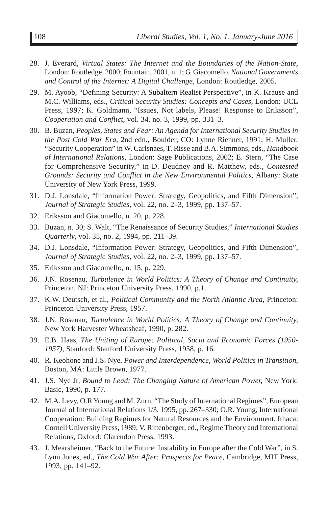- 28. J. Everard, *Virtual States: The Internet and the Boundaries of the Nation-State*, London: Routledge, 2000; Fountain, 2001, n. 1; G. Giacomello, *National Governments and Control of the Internet: A Digital Challenge,* London: Routledge, 2005.
- 29. M. Ayoob, "Defining Security: A Subaltern Realist Perspective", in K. Krause and M.C. Williams, eds., *Critical Security Studies: Concepts and Cases,* London: UCL Press, 1997; K. Goldmann, "Issues, Not labels, Please! Response to Eriksson", *Cooperation and Conflict*, vol. 34, no. 3, 1999, pp. 331–3.
- 30. B. Buzan, *Peoples, States and Fear: An Agenda for International Security Studies in the Post Cold War Era*, 2nd edn., Boulder, CO: Lynne Rienner, 1991; H. Muller, "Security Cooperation" in W. Carlsnaes, T. Risse and B.A. Simmons, eds., *Handbook of International Relations,* London: Sage Publications, 2002; E. Stern, "The Case for Comprehensive Security," in D. Deudney and R. Matthew, eds., *Contested Grounds: Security and Conflict in the New Environmental Politics,* Albany: State University of New York Press, 1999.
- 31. D.J. Lonsdale, "Information Power: Strategy, Geopolitics, and Fifth Dimension", *Journal of Strategic Studies*, vol. 22, no. 2–3, 1999, pp. 137–57.
- 32. Eriksson and Giacomello, n. 20, p. 228.
- 33. Buzan, n. 30; S. Walt, "The Renaissance of Security Studies," *International Studies Quarterly*, vol. 35, no. 2, 1994, pp. 211–39.
- 34. D.J. Lonsdale, "Information Power: Strategy, Geopolitics, and Fifth Dimension", *Journal of Strategic Studies*, vol. 22, no. 2–3, 1999, pp. 137–57.
- 35. Eriksson and Giacomello, n. 15, p. 229.
- 36. J.N. Rosenau, *Turbulence in World Politics: A Theory of Change and Continuity,* Princeton, NJ: Princeton University Press, 1990, p.1.
- 37. K.W. Deutsch, et al., *Political Community and the North Atlantic Area*, Princeton: Princeton University Press, 1957.
- 38. J.N. Rosenau, *Turbulence in World Politics: A Theory of Change and Continuity,* New York Harvester Wheatsheaf, 1990, p. 282.
- 39. E.B. Haas, *The Uniting of Europe: Political, Socia and Economic Forces (1950- 1957)*, Stanford: Stanford University Press, 1958, p. 16.
- 40. R. Keohone and J.S. Nye, *Power and Interdependence, World Politics in Transition*, Boston, MA: Little Brown, 1977.
- 41. J.S. Nye Jr, *Bound to Lead: The Changing Nature of American Power,* New York: Basic, 1990, p. 177.
- 42. M.A. Levy, O.R Young and M. Zurn, "The Study of International Regimes", European Journal of International Relations 1/3, 1995, pp. 267–330; O.R. Young, International Cooperation: Building Regimes for Natural Resources and the Environment, Ithaca: Cornell University Press, 1989; V. Rittenberger, ed., Regime Theory and International Relations, Oxford: Clarendon Press, 1993.
- 43. J. Mearsheimer, "Back to the Future: Instability in Europe after the Cold War", in S. Lynn Jones, ed., *The Cold War After: Prospects for Peace,* Cambridge, MIT Press, 1993, pp. 141–92.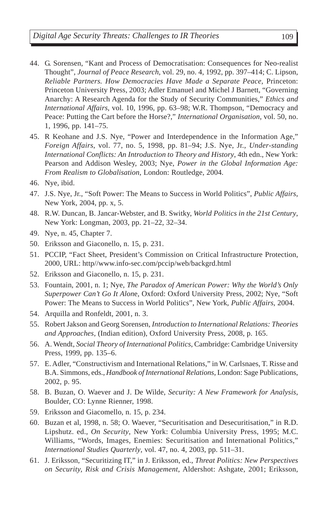- 44. G. Sorensen, "Kant and Process of Democratisation: Consequences for Neo-realist Thought", *Journal of Peace Research*, vol. 29, no. 4, 1992, pp. 397–414; C. Lipson, *Reliable Partners. How Democracies Have Made a Separate Peace,* Princeton: Princeton University Press, 2003; Adler Emanuel and Michel J Barnett, "Governing Anarchy: A Research Agenda for the Study of Security Communities," *Ethics and International Affairs*, vol. 10, 1996, pp. 63–98; W.R. Thompson, "Democracy and Peace: Putting the Cart before the Horse?," *International Organisation*, vol. 50, no. 1, 1996, pp. 141–75.
- 45. R Keohane and J.S. Nye, "Power and Interdependence in the Information Age," *Foreign Affairs*, vol. 77, no. 5, 1998, pp. 81–94; J.S. Nye, Jr., *Under-standing International Conflicts: An Introduction to Theory and History*, 4th edn., New York: Pearson and Addison Wesley, 2003; Nye, *Power in the Global Information Age: From Realism to Globalisation*, London: Routledge, 2004.
- 46. Nye, ibid.
- 47. J.S. Nye, Jr., "Soft Power: The Means to Success in World Politics", *Public Affairs*, New York, 2004, pp. x, 5.
- 48. R.W. Duncan, B. Jancar-Webster, and B. Switky, *World Politics in the 21st Century*, New York: Longman, 2003, pp. 21–22, 32–34.
- 49. Nye, n. 45, Chapter 7.
- 50. Eriksson and Giaconello, n. 15, p. 231.
- 51. PCCIP, "Fact Sheet, President's Commission on Critical Infrastructure Protection, 2000, URL: http//www.info-sec.com/pccip/web/backgrd.html
- 52. Eriksson and Giaconello, n. 15, p. 231.
- 53. Fountain, 2001, n. 1; Nye, *The Paradox of American Power: Why the World's Only Superpower Can't Go It Alon*e, Oxford: Oxford University Press, 2002; Nye, "Soft Power: The Means to Success in World Politics", New York, *Public Affairs*, 2004.
- 54. Arquilla and Ronfeldt, 2001, n. 3.
- 55. Robert Jakson and Georg Sorensen, *Introduction to International Relations: Theories and Approaches,* (Indian edition), Oxford University Press, 2008, p. 165.
- 56. A. Wendt, *Social Theory of International Politics*, Cambridge: Cambridge University Press, 1999, pp. 135–6.
- 57. E. Adler, "Constructivism and International Relations," in W. Carlsnaes, T. Risse and B.A. Simmons, eds., *Handbook of International Relations*, London: Sage Publications, 2002, p. 95.
- 58. B. Buzan, O. Waever and J. De Wilde, *Security: A New Framework for Analysis*, Boulder, CO: Lynne Rienner, 1998.
- 59. Eriksson and Giacomello, n. 15, p. 234.
- 60. Buzan et al, 1998, n. 58; O. Waever, "Securitisation and Desecuritisation," in R.D. Lipshutz. ed., *On Security*, New York: Columbia University Press, 1995; M.C. Williams, "Words, Images, Enemies: Securitisation and International Politics," *International Studies Quarterly*, vol. 47, no. 4, 2003, pp. 511–31.
- 61. J. Eriksson, "Securitizing IT," in J. Eriksson, ed., *Threat Politics: New Perspectives on Security, Risk and Crisis Management*, Aldershot: Ashgate, 2001; Eriksson,